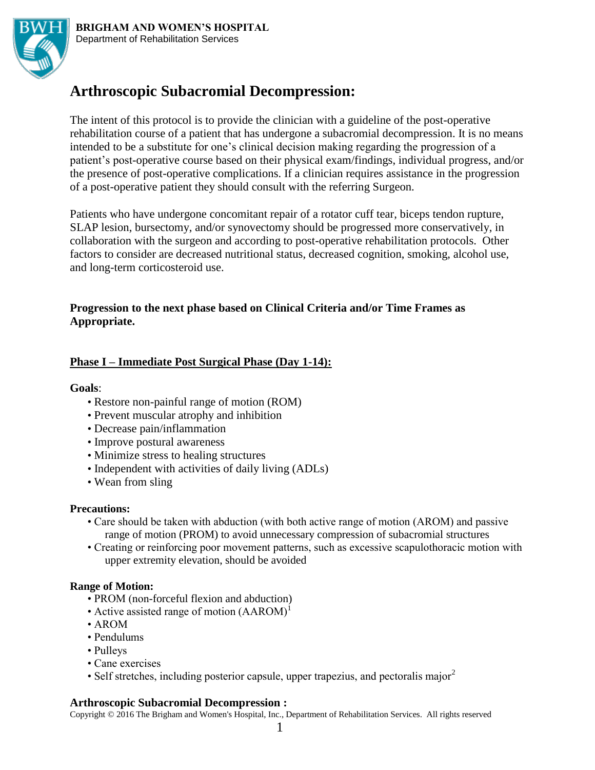

# **Arthroscopic Subacromial Decompression:**

The intent of this protocol is to provide the clinician with a guideline of the post-operative rehabilitation course of a patient that has undergone a subacromial decompression. It is no means intended to be a substitute for one's clinical decision making regarding the progression of a patient's post-operative course based on their physical exam/findings, individual progress, and/or the presence of post-operative complications. If a clinician requires assistance in the progression of a post-operative patient they should consult with the referring Surgeon.

Patients who have undergone concomitant repair of a rotator cuff tear, biceps tendon rupture, SLAP lesion, bursectomy, and/or synovectomy should be progressed more conservatively, in collaboration with the surgeon and according to post-operative rehabilitation protocols. Other factors to consider are decreased nutritional status, decreased cognition, smoking, alcohol use, and long-term corticosteroid use.

# **Progression to the next phase based on Clinical Criteria and/or Time Frames as Appropriate.**

# **Phase I – Immediate Post Surgical Phase (Day 1-14):**

## **Goals**:

- Restore non-painful range of motion (ROM)
- Prevent muscular atrophy and inhibition
- Decrease pain/inflammation
- Improve postural awareness
- Minimize stress to healing structures
- Independent with activities of daily living (ADLs)
- Wean from sling

## **Precautions:**

- Care should be taken with abduction (with both active range of motion (AROM) and passive range of motion (PROM) to avoid unnecessary compression of subacromial structures
- Creating or reinforcing poor movement patterns, such as excessive scapulothoracic motion with upper extremity elevation, should be avoided

## **Range of Motion:**

- PROM (non-forceful flexion and abduction)
- Active assisted range of motion  $(AAROM)^1$
- AROM
- Pendulums
- Pulleys
- Cane exercises
- Self stretches, including posterior capsule, upper trapezius, and pectoralis major<sup>2</sup>

## **Arthroscopic Subacromial Decompression :**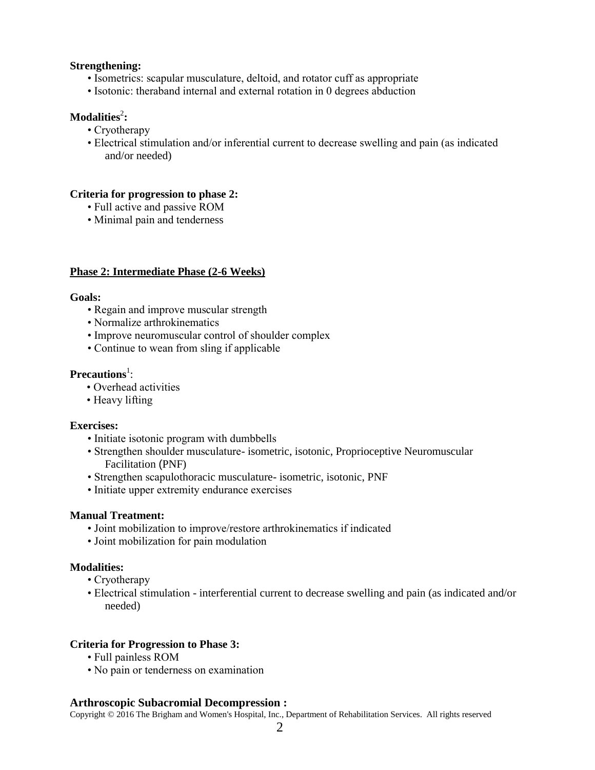#### **Strengthening:**

- Isometrics: scapular musculature, deltoid, and rotator cuff as appropriate
- Isotonic: theraband internal and external rotation in 0 degrees abduction

## $\bf{Modalities}^2$ :

- Cryotherapy
- Electrical stimulation and/or inferential current to decrease swelling and pain (as indicated and/or needed)

#### **Criteria for progression to phase 2:**

- Full active and passive ROM
- Minimal pain and tenderness

#### **Phase 2: Intermediate Phase (2-6 Weeks)**

#### **Goals:**

- Regain and improve muscular strength
- Normalize arthrokinematics
- Improve neuromuscular control of shoulder complex
- Continue to wean from sling if applicable

## Precautions<sup>1</sup>:

- Overhead activities
- Heavy lifting

#### **Exercises:**

- Initiate isotonic program with dumbbells
- Strengthen shoulder musculature- isometric, isotonic, Proprioceptive Neuromuscular Facilitation (PNF)
- Strengthen scapulothoracic musculature- isometric, isotonic, PNF
- Initiate upper extremity endurance exercises

#### **Manual Treatment:**

- Joint mobilization to improve/restore arthrokinematics if indicated
- Joint mobilization for pain modulation

#### **Modalities:**

- Cryotherapy
- Electrical stimulation interferential current to decrease swelling and pain (as indicated and/or needed)

#### **Criteria for Progression to Phase 3:**

- Full painless ROM
- No pain or tenderness on examination

#### **Arthroscopic Subacromial Decompression :**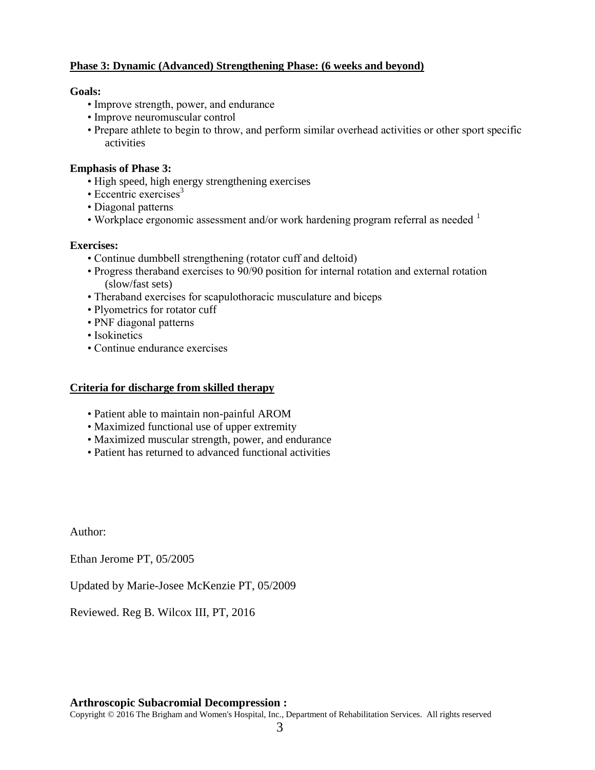## **Phase 3: Dynamic (Advanced) Strengthening Phase: (6 weeks and beyond)**

## **Goals:**

- Improve strength, power, and endurance
- Improve neuromuscular control
- Prepare athlete to begin to throw, and perform similar overhead activities or other sport specific activities

## **Emphasis of Phase 3:**

- High speed, high energy strengthening exercises
- Eccentric exercises $3$
- Diagonal patterns
- Workplace ergonomic assessment and/or work hardening program referral as needed  $<sup>1</sup>$ </sup>

## **Exercises:**

- Continue dumbbell strengthening (rotator cuff and deltoid)
- Progress theraband exercises to 90/90 position for internal rotation and external rotation (slow/fast sets)
- Theraband exercises for scapulothoracic musculature and biceps
- Plyometrics for rotator cuff
- PNF diagonal patterns
- Isokinetics
- Continue endurance exercises

## **Criteria for discharge from skilled therapy**

- Patient able to maintain non-painful AROM
- Maximized functional use of upper extremity
- Maximized muscular strength, power, and endurance
- Patient has returned to advanced functional activities

Author:

Ethan Jerome PT, 05/2005

Updated by Marie-Josee McKenzie PT, 05/2009

Reviewed. Reg B. Wilcox III, PT, 2016

## **Arthroscopic Subacromial Decompression :**